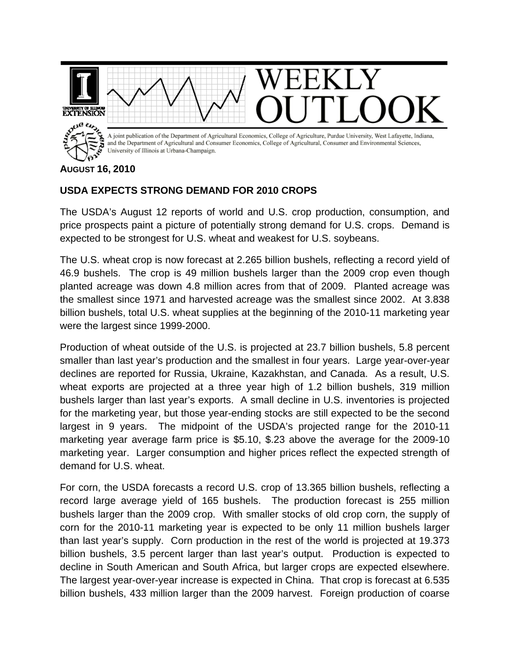

**AUGUST 16, 2010** 

## **USDA EXPECTS STRONG DEMAND FOR 2010 CROPS**

The USDA's August 12 reports of world and U.S. crop production, consumption, and price prospects paint a picture of potentially strong demand for U.S. crops. Demand is expected to be strongest for U.S. wheat and weakest for U.S. soybeans.

The U.S. wheat crop is now forecast at 2.265 billion bushels, reflecting a record yield of 46.9 bushels. The crop is 49 million bushels larger than the 2009 crop even though planted acreage was down 4.8 million acres from that of 2009. Planted acreage was the smallest since 1971 and harvested acreage was the smallest since 2002. At 3.838 billion bushels, total U.S. wheat supplies at the beginning of the 2010-11 marketing year were the largest since 1999-2000.

Production of wheat outside of the U.S. is projected at 23.7 billion bushels, 5.8 percent smaller than last year's production and the smallest in four years. Large year-over-year declines are reported for Russia, Ukraine, Kazakhstan, and Canada. As a result, U.S. wheat exports are projected at a three year high of 1.2 billion bushels, 319 million bushels larger than last year's exports. A small decline in U.S. inventories is projected for the marketing year, but those year-ending stocks are still expected to be the second largest in 9 years. The midpoint of the USDA's projected range for the 2010-11 marketing year average farm price is \$5.10, \$.23 above the average for the 2009-10 marketing year. Larger consumption and higher prices reflect the expected strength of demand for U.S. wheat.

For corn, the USDA forecasts a record U.S. crop of 13.365 billion bushels, reflecting a record large average yield of 165 bushels. The production forecast is 255 million bushels larger than the 2009 crop. With smaller stocks of old crop corn, the supply of corn for the 2010-11 marketing year is expected to be only 11 million bushels larger than last year's supply. Corn production in the rest of the world is projected at 19.373 billion bushels, 3.5 percent larger than last year's output. Production is expected to decline in South American and South Africa, but larger crops are expected elsewhere. The largest year-over-year increase is expected in China. That crop is forecast at 6.535 billion bushels, 433 million larger than the 2009 harvest. Foreign production of coarse